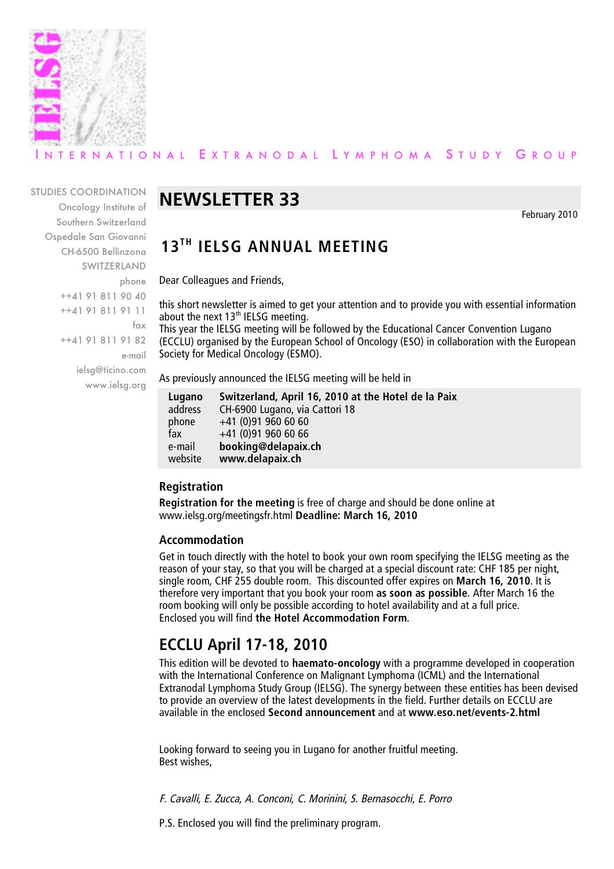

## ERNATIONAL EXTRANODAL LYMPHOMA STUDY GROUP

#### STUDIES COORDINATION

Oncology Institute of Southern Switzerland Ospedale San Giovanni CH-6500 Bellinzona SWITZERLAND phone ++41 91 811 90 40 ++41 91 811 91 11 fax ++41 91 811 91 82 e-mail ielsg@ticino.com www.ielsg.org

# **NEWSLETTER 33**

February 2010

## **13TH IELSG ANNUAL MEETING**

Dear Colleagues and Friends,

this short newsletter is aimed to get your attention and to provide you with essential information about the next  $13<sup>th</sup>$  IELSG meeting.

This year the IELSG meeting will be followed by the Educational Cancer Convention Lugano (ECCLU) organised by the European School of Oncology (ESO) in collaboration with the European Society for Medical Oncology (ESMO).

As previously announced the IELSG meeting will be held in

| Lugano  | Switzerland, April 16, 2010 at the Hotel de la Paix |
|---------|-----------------------------------------------------|
| address | CH-6900 Lugano, via Cattori 18                      |
| phone   | $+41$ (0)91 960 60 60                               |
| fax     | $+41$ (0)91 960 60 66                               |
| e-mail  | booking@delapaix.ch                                 |
| website | www.delapaix.ch                                     |

### **Registration**

**Registration for the meeting** is free of charge and should be done online at www.ielsg.org/meetingsfr.html **Deadline: March 16, 2010**

#### **Accommodation**

Get in touch directly with the hotel to book your own room specifying the IELSG meeting as the reason of your stay, so that you will be charged at a special discount rate: CHF 185 per night, single room, CHF 255 double room. This discounted offer expires on **March 16, 2010**. It is therefore very important that you book your room **as soon as possible**. After March 16 the room booking will only be possible according to hotel availability and at a full price. Enclosed you will find **the Hotel Accommodation Form**.

# **ECCLU April 17-18, 2010**

This edition will be devoted to **haemato-oncology** with a programme developed in cooperation with the International Conference on Malignant Lymphoma (ICML) and the International Extranodal Lymphoma Study Group (IELSG). The synergy between these entities has been devised to provide an overview of the latest developments in the field. Further details on ECCLU are available in the enclosed **Second announcement** and at **www.eso.net/events-2.html**

Looking forward to seeing you in Lugano for another fruitful meeting. Best wishes,

F. Cavalli, E. Zucca, A. Conconi, C. Morinini, S. Bernasocchi, E. Porro

P.S. Enclosed you will find the preliminary program.